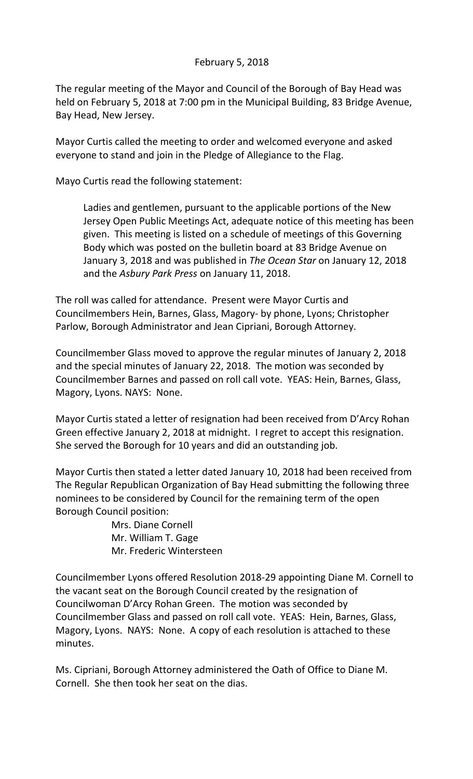## February 5, 2018

The regular meeting of the Mayor and Council of the Borough of Bay Head was held on February 5, 2018 at 7:00 pm in the Municipal Building, 83 Bridge Avenue, Bay Head, New Jersey.

Mayor Curtis called the meeting to order and welcomed everyone and asked everyone to stand and join in the Pledge of Allegiance to the Flag.

Mayo Curtis read the following statement:

Ladies and gentlemen, pursuant to the applicable portions of the New Jersey Open Public Meetings Act, adequate notice of this meeting has been given. This meeting is listed on a schedule of meetings of this Governing Body which was posted on the bulletin board at 83 Bridge Avenue on January 3, 2018 and was published in *The Ocean Star* on January 12, 2018 and the *Asbury Park Press* on January 11, 2018.

The roll was called for attendance. Present were Mayor Curtis and Councilmembers Hein, Barnes, Glass, Magory- by phone, Lyons; Christopher Parlow, Borough Administrator and Jean Cipriani, Borough Attorney.

Councilmember Glass moved to approve the regular minutes of January 2, 2018 and the special minutes of January 22, 2018. The motion was seconded by Councilmember Barnes and passed on roll call vote. YEAS: Hein, Barnes, Glass, Magory, Lyons. NAYS: None.

Mayor Curtis stated a letter of resignation had been received from D'Arcy Rohan Green effective January 2, 2018 at midnight. I regret to accept this resignation. She served the Borough for 10 years and did an outstanding job.

Mayor Curtis then stated a letter dated January 10, 2018 had been received from The Regular Republican Organization of Bay Head submitting the following three nominees to be considered by Council for the remaining term of the open Borough Council position:

> Mrs. Diane Cornell Mr. William T. Gage Mr. Frederic Wintersteen

Councilmember Lyons offered Resolution 2018-29 appointing Diane M. Cornell to the vacant seat on the Borough Council created by the resignation of Councilwoman D'Arcy Rohan Green. The motion was seconded by Councilmember Glass and passed on roll call vote. YEAS: Hein, Barnes, Glass, Magory, Lyons. NAYS: None. A copy of each resolution is attached to these minutes.

Ms. Cipriani, Borough Attorney administered the Oath of Office to Diane M. Cornell. She then took her seat on the dias.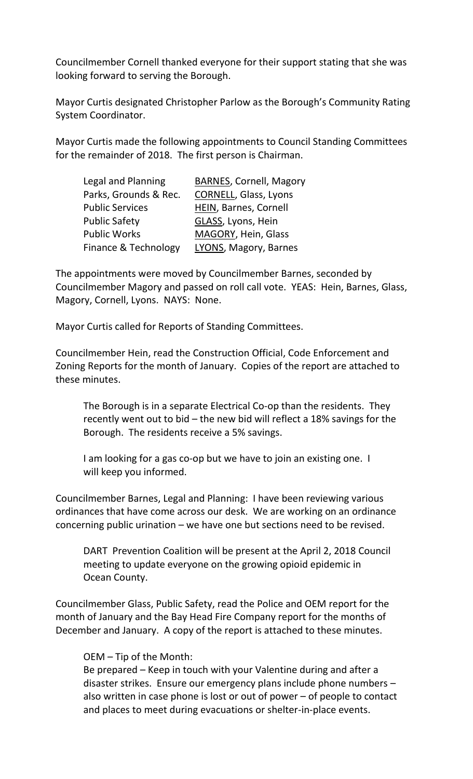Councilmember Cornell thanked everyone for their support stating that she was looking forward to serving the Borough.

Mayor Curtis designated Christopher Parlow as the Borough's Community Rating System Coordinator.

Mayor Curtis made the following appointments to Council Standing Committees for the remainder of 2018. The first person is Chairman.

| Legal and Planning     | <b>BARNES, Cornell, Magory</b> |
|------------------------|--------------------------------|
| Parks, Grounds & Rec.  | <b>CORNELL, Glass, Lyons</b>   |
| <b>Public Services</b> | HEIN, Barnes, Cornell          |
| <b>Public Safety</b>   | GLASS, Lyons, Hein             |
| <b>Public Works</b>    | MAGORY, Hein, Glass            |
| Finance & Technology   | LYONS, Magory, Barnes          |

The appointments were moved by Councilmember Barnes, seconded by Councilmember Magory and passed on roll call vote. YEAS: Hein, Barnes, Glass, Magory, Cornell, Lyons. NAYS: None.

Mayor Curtis called for Reports of Standing Committees.

Councilmember Hein, read the Construction Official, Code Enforcement and Zoning Reports for the month of January. Copies of the report are attached to these minutes.

The Borough is in a separate Electrical Co-op than the residents. They recently went out to bid – the new bid will reflect a 18% savings for the Borough. The residents receive a 5% savings.

I am looking for a gas co-op but we have to join an existing one. I will keep you informed.

Councilmember Barnes, Legal and Planning: I have been reviewing various ordinances that have come across our desk. We are working on an ordinance concerning public urination – we have one but sections need to be revised.

DART Prevention Coalition will be present at the April 2, 2018 Council meeting to update everyone on the growing opioid epidemic in Ocean County.

Councilmember Glass, Public Safety, read the Police and OEM report for the month of January and the Bay Head Fire Company report for the months of December and January. A copy of the report is attached to these minutes.

## OEM – Tip of the Month:

Be prepared – Keep in touch with your Valentine during and after a disaster strikes. Ensure our emergency plans include phone numbers – also written in case phone is lost or out of power – of people to contact and places to meet during evacuations or shelter-in-place events.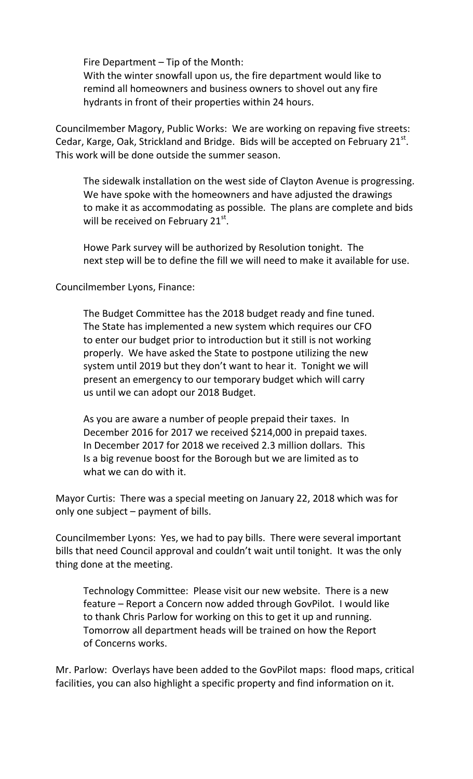Fire Department – Tip of the Month:

With the winter snowfall upon us, the fire department would like to remind all homeowners and business owners to shovel out any fire hydrants in front of their properties within 24 hours.

Councilmember Magory, Public Works: We are working on repaving five streets: Cedar, Karge, Oak, Strickland and Bridge. Bids will be accepted on February  $21^{st}$ . This work will be done outside the summer season.

The sidewalk installation on the west side of Clayton Avenue is progressing. We have spoke with the homeowners and have adjusted the drawings to make it as accommodating as possible. The plans are complete and bids will be received on February  $21^{st}$ .

Howe Park survey will be authorized by Resolution tonight. The next step will be to define the fill we will need to make it available for use.

Councilmember Lyons, Finance:

The Budget Committee has the 2018 budget ready and fine tuned. The State has implemented a new system which requires our CFO to enter our budget prior to introduction but it still is not working properly. We have asked the State to postpone utilizing the new system until 2019 but they don't want to hear it. Tonight we will present an emergency to our temporary budget which will carry us until we can adopt our 2018 Budget.

As you are aware a number of people prepaid their taxes. In December 2016 for 2017 we received \$214,000 in prepaid taxes. In December 2017 for 2018 we received 2.3 million dollars. This Is a big revenue boost for the Borough but we are limited as to what we can do with it.

Mayor Curtis: There was a special meeting on January 22, 2018 which was for only one subject – payment of bills.

Councilmember Lyons: Yes, we had to pay bills. There were several important bills that need Council approval and couldn't wait until tonight. It was the only thing done at the meeting.

Technology Committee: Please visit our new website. There is a new feature – Report a Concern now added through GovPilot. I would like to thank Chris Parlow for working on this to get it up and running. Tomorrow all department heads will be trained on how the Report of Concerns works.

Mr. Parlow: Overlays have been added to the GovPilot maps: flood maps, critical facilities, you can also highlight a specific property and find information on it.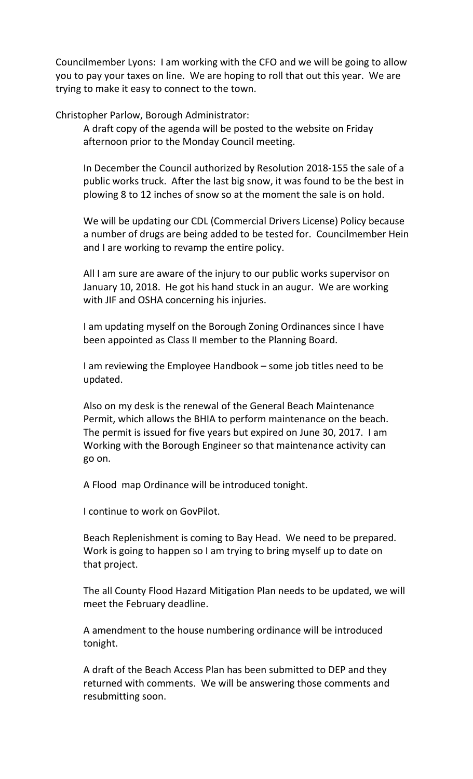Councilmember Lyons: I am working with the CFO and we will be going to allow you to pay your taxes on line. We are hoping to roll that out this year. We are trying to make it easy to connect to the town.

Christopher Parlow, Borough Administrator:

A draft copy of the agenda will be posted to the website on Friday afternoon prior to the Monday Council meeting.

In December the Council authorized by Resolution 2018-155 the sale of a public works truck. After the last big snow, it was found to be the best in plowing 8 to 12 inches of snow so at the moment the sale is on hold.

We will be updating our CDL (Commercial Drivers License) Policy because a number of drugs are being added to be tested for. Councilmember Hein and I are working to revamp the entire policy.

All I am sure are aware of the injury to our public works supervisor on January 10, 2018. He got his hand stuck in an augur. We are working with JIF and OSHA concerning his injuries.

I am updating myself on the Borough Zoning Ordinances since I have been appointed as Class II member to the Planning Board.

I am reviewing the Employee Handbook – some job titles need to be updated.

Also on my desk is the renewal of the General Beach Maintenance Permit, which allows the BHIA to perform maintenance on the beach. The permit is issued for five years but expired on June 30, 2017. I am Working with the Borough Engineer so that maintenance activity can go on.

A Flood map Ordinance will be introduced tonight.

I continue to work on GovPilot.

Beach Replenishment is coming to Bay Head. We need to be prepared. Work is going to happen so I am trying to bring myself up to date on that project.

The all County Flood Hazard Mitigation Plan needs to be updated, we will meet the February deadline.

A amendment to the house numbering ordinance will be introduced tonight.

A draft of the Beach Access Plan has been submitted to DEP and they returned with comments. We will be answering those comments and resubmitting soon.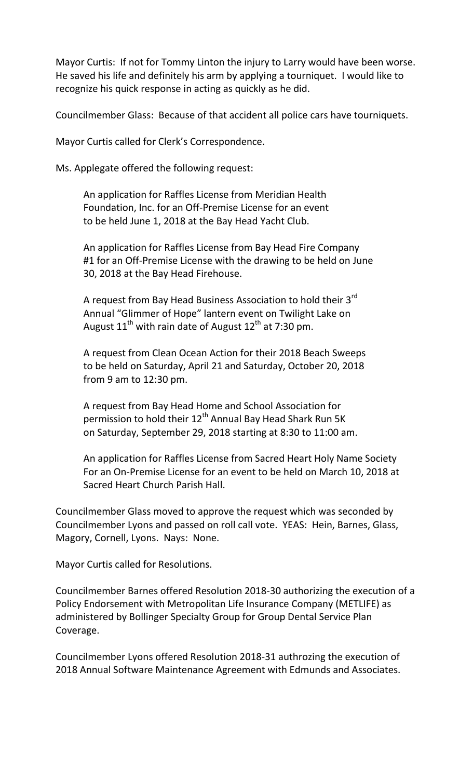Mayor Curtis: If not for Tommy Linton the injury to Larry would have been worse. He saved his life and definitely his arm by applying a tourniquet. I would like to recognize his quick response in acting as quickly as he did.

Councilmember Glass: Because of that accident all police cars have tourniquets.

Mayor Curtis called for Clerk's Correspondence.

Ms. Applegate offered the following request:

An application for Raffles License from Meridian Health Foundation, Inc. for an Off-Premise License for an event to be held June 1, 2018 at the Bay Head Yacht Club.

An application for Raffles License from Bay Head Fire Company #1 for an Off-Premise License with the drawing to be held on June 30, 2018 at the Bay Head Firehouse.

A request from Bay Head Business Association to hold their  $3^{rd}$ Annual "Glimmer of Hope" lantern event on Twilight Lake on August 11<sup>th</sup> with rain date of August 12<sup>th</sup> at 7:30 pm.

A request from Clean Ocean Action for their 2018 Beach Sweeps to be held on Saturday, April 21 and Saturday, October 20, 2018 from 9 am to 12:30 pm.

A request from Bay Head Home and School Association for permission to hold their  $12^{th}$  Annual Bay Head Shark Run 5K on Saturday, September 29, 2018 starting at 8:30 to 11:00 am.

An application for Raffles License from Sacred Heart Holy Name Society For an On-Premise License for an event to be held on March 10, 2018 at Sacred Heart Church Parish Hall.

Councilmember Glass moved to approve the request which was seconded by Councilmember Lyons and passed on roll call vote. YEAS: Hein, Barnes, Glass, Magory, Cornell, Lyons. Nays: None.

Mayor Curtis called for Resolutions.

Councilmember Barnes offered Resolution 2018-30 authorizing the execution of a Policy Endorsement with Metropolitan Life Insurance Company (METLIFE) as administered by Bollinger Specialty Group for Group Dental Service Plan Coverage.

Councilmember Lyons offered Resolution 2018-31 authrozing the execution of 2018 Annual Software Maintenance Agreement with Edmunds and Associates.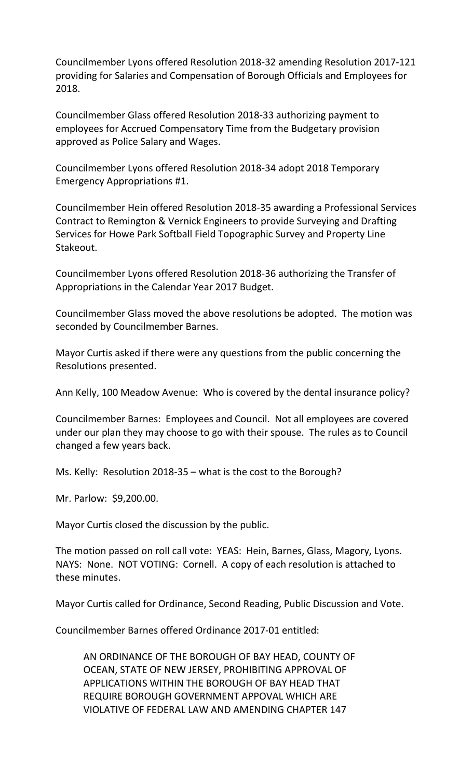Councilmember Lyons offered Resolution 2018-32 amending Resolution 2017-121 providing for Salaries and Compensation of Borough Officials and Employees for 2018.

Councilmember Glass offered Resolution 2018-33 authorizing payment to employees for Accrued Compensatory Time from the Budgetary provision approved as Police Salary and Wages.

Councilmember Lyons offered Resolution 2018-34 adopt 2018 Temporary Emergency Appropriations #1.

Councilmember Hein offered Resolution 2018-35 awarding a Professional Services Contract to Remington & Vernick Engineers to provide Surveying and Drafting Services for Howe Park Softball Field Topographic Survey and Property Line Stakeout.

Councilmember Lyons offered Resolution 2018-36 authorizing the Transfer of Appropriations in the Calendar Year 2017 Budget.

Councilmember Glass moved the above resolutions be adopted. The motion was seconded by Councilmember Barnes.

Mayor Curtis asked if there were any questions from the public concerning the Resolutions presented.

Ann Kelly, 100 Meadow Avenue: Who is covered by the dental insurance policy?

Councilmember Barnes: Employees and Council. Not all employees are covered under our plan they may choose to go with their spouse. The rules as to Council changed a few years back.

Ms. Kelly: Resolution 2018-35 – what is the cost to the Borough?

Mr. Parlow: \$9,200.00.

Mayor Curtis closed the discussion by the public.

The motion passed on roll call vote: YEAS: Hein, Barnes, Glass, Magory, Lyons. NAYS: None. NOT VOTING: Cornell. A copy of each resolution is attached to these minutes.

Mayor Curtis called for Ordinance, Second Reading, Public Discussion and Vote.

Councilmember Barnes offered Ordinance 2017-01 entitled:

AN ORDINANCE OF THE BOROUGH OF BAY HEAD, COUNTY OF OCEAN, STATE OF NEW JERSEY, PROHIBITING APPROVAL OF APPLICATIONS WITHIN THE BOROUGH OF BAY HEAD THAT REQUIRE BOROUGH GOVERNMENT APPOVAL WHICH ARE VIOLATIVE OF FEDERAL LAW AND AMENDING CHAPTER 147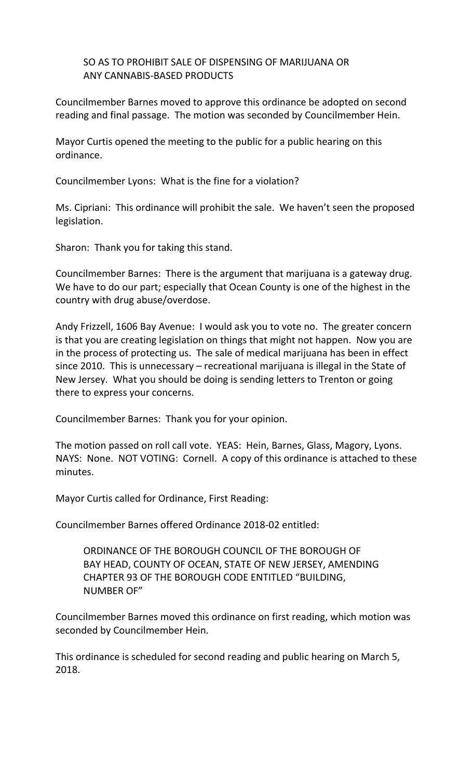SO AS TO PROHIBIT SALE OF DISPENSING OF MARIJUANA OR ANY CANNABIS-BASED PRODUCTS

Councilmember Barnes moved to approve this ordinance be adopted on second reading and final passage. The motion was seconded by Councilmember Hein.

Mayor Curtis opened the meeting to the public for a public hearing on this ordinance.

Councilmember Lyons: What is the fine for a violation?

Ms. Cipriani: This ordinance will prohibit the sale. We haven't seen the proposed legislation.

Sharon: Thank you for taking this stand.

Councilmember Barnes: There is the argument that marijuana is a gateway drug. We have to do our part; especially that Ocean County is one of the highest in the country with drug abuse/overdose.

Andy Frizzell, 1606 Bay Avenue: I would ask you to vote no. The greater concern is that you are creating legislation on things that might not happen. Now you are in the process of protecting us. The sale of medical marijuana has been in effect since 2010. This is unnecessary – recreational marijuana is illegal in the State of New Jersey. What you should be doing is sending letters to Trenton or going there to express your concerns.

Councilmember Barnes: Thank you for your opinion.

The motion passed on roll call vote. YEAS: Hein, Barnes, Glass, Magory, Lyons. NAYS: None. NOT VOTING: Cornell. A copy of this ordinance is attached to these minutes.

Mayor Curtis called for Ordinance, First Reading:

Councilmember Barnes offered Ordinance 2018-02 entitled:

ORDINANCE OF THE BOROUGH COUNCIL OF THE BOROUGH OF BAY HEAD, COUNTY OF OCEAN, STATE OF NEW JERSEY, AMENDING CHAPTER 93 OF THE BOROUGH CODE ENTITLED "BUILDING, NUMBER OF"

Councilmember Barnes moved this ordinance on first reading, which motion was seconded by Councilmember Hein.

This ordinance is scheduled for second reading and public hearing on March 5, 2018.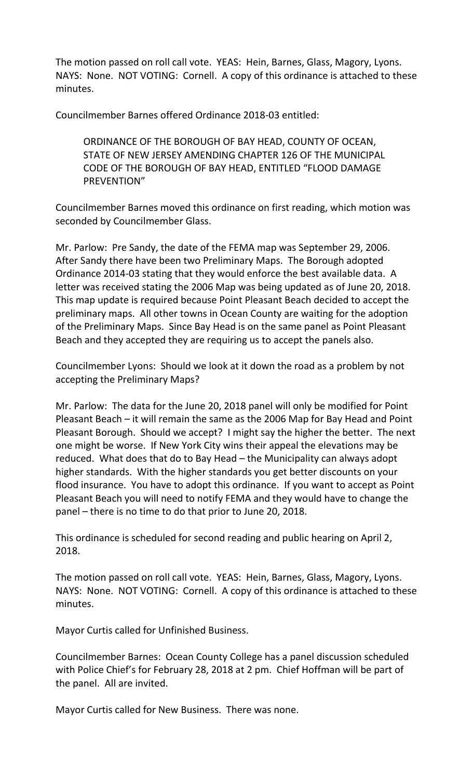The motion passed on roll call vote. YEAS: Hein, Barnes, Glass, Magory, Lyons. NAYS: None. NOT VOTING: Cornell. A copy of this ordinance is attached to these minutes.

Councilmember Barnes offered Ordinance 2018-03 entitled:

ORDINANCE OF THE BOROUGH OF BAY HEAD, COUNTY OF OCEAN, STATE OF NEW JERSEY AMENDING CHAPTER 126 OF THE MUNICIPAL CODE OF THE BOROUGH OF BAY HEAD, ENTITLED "FLOOD DAMAGE PREVENTION"

Councilmember Barnes moved this ordinance on first reading, which motion was seconded by Councilmember Glass.

Mr. Parlow: Pre Sandy, the date of the FEMA map was September 29, 2006. After Sandy there have been two Preliminary Maps. The Borough adopted Ordinance 2014-03 stating that they would enforce the best available data. A letter was received stating the 2006 Map was being updated as of June 20, 2018. This map update is required because Point Pleasant Beach decided to accept the preliminary maps. All other towns in Ocean County are waiting for the adoption of the Preliminary Maps. Since Bay Head is on the same panel as Point Pleasant Beach and they accepted they are requiring us to accept the panels also.

Councilmember Lyons: Should we look at it down the road as a problem by not accepting the Preliminary Maps?

Mr. Parlow: The data for the June 20, 2018 panel will only be modified for Point Pleasant Beach – it will remain the same as the 2006 Map for Bay Head and Point Pleasant Borough. Should we accept? I might say the higher the better. The next one might be worse. If New York City wins their appeal the elevations may be reduced. What does that do to Bay Head – the Municipality can always adopt higher standards. With the higher standards you get better discounts on your flood insurance. You have to adopt this ordinance. If you want to accept as Point Pleasant Beach you will need to notify FEMA and they would have to change the panel – there is no time to do that prior to June 20, 2018.

This ordinance is scheduled for second reading and public hearing on April 2, 2018.

The motion passed on roll call vote. YEAS: Hein, Barnes, Glass, Magory, Lyons. NAYS: None. NOT VOTING: Cornell. A copy of this ordinance is attached to these minutes.

Mayor Curtis called for Unfinished Business.

Councilmember Barnes: Ocean County College has a panel discussion scheduled with Police Chief's for February 28, 2018 at 2 pm. Chief Hoffman will be part of the panel. All are invited.

Mayor Curtis called for New Business. There was none.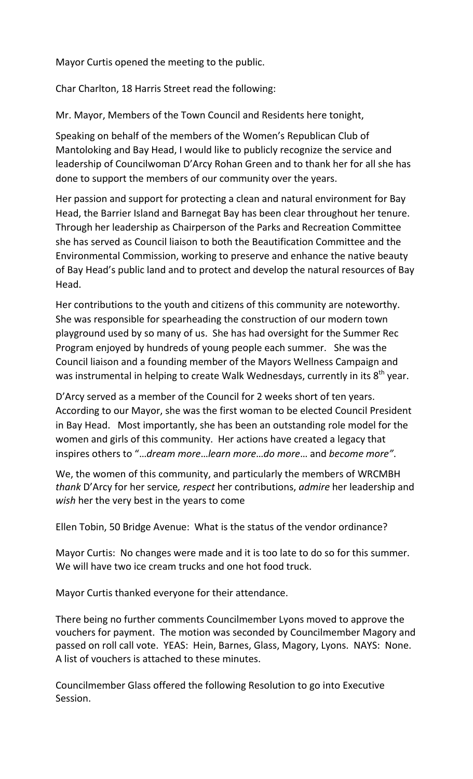Mayor Curtis opened the meeting to the public.

Char Charlton, 18 Harris Street read the following:

Mr. Mayor, Members of the Town Council and Residents here tonight,

Speaking on behalf of the members of the Women's Republican Club of Mantoloking and Bay Head, I would like to publicly recognize the service and leadership of Councilwoman D'Arcy Rohan Green and to thank her for all she has done to support the members of our community over the years.

Her passion and support for protecting a clean and natural environment for Bay Head, the Barrier Island and Barnegat Bay has been clear throughout her tenure. Through her leadership as Chairperson of the Parks and Recreation Committee she has served as Council liaison to both the Beautification Committee and the Environmental Commission, working to preserve and enhance the native beauty of Bay Head's public land and to protect and develop the natural resources of Bay Head.

Her contributions to the youth and citizens of this community are noteworthy. She was responsible for spearheading the construction of our modern town playground used by so many of us. She has had oversight for the Summer Rec Program enjoyed by hundreds of young people each summer. She was the Council liaison and a founding member of the Mayors Wellness Campaign and was instrumental in helping to create Walk Wednesdays, currently in its 8<sup>th</sup> year.

D'Arcy served as a member of the Council for 2 weeks short of ten years. According to our Mayor, she was the first woman to be elected Council President in Bay Head. Most importantly, she has been an outstanding role model for the women and girls of this community. Her actions have created a legacy that inspires others to "…*dream more*…*learn more*…*do more*… and *become more"*.

We, the women of this community, and particularly the members of WRCMBH *thank* D'Arcy for her service*, respect* her contributions, *admire* her leadership and *wish* her the very best in the years to come

Ellen Tobin, 50 Bridge Avenue: What is the status of the vendor ordinance?

Mayor Curtis: No changes were made and it is too late to do so for this summer. We will have two ice cream trucks and one hot food truck.

Mayor Curtis thanked everyone for their attendance.

There being no further comments Councilmember Lyons moved to approve the vouchers for payment. The motion was seconded by Councilmember Magory and passed on roll call vote. YEAS: Hein, Barnes, Glass, Magory, Lyons. NAYS: None. A list of vouchers is attached to these minutes.

Councilmember Glass offered the following Resolution to go into Executive Session.